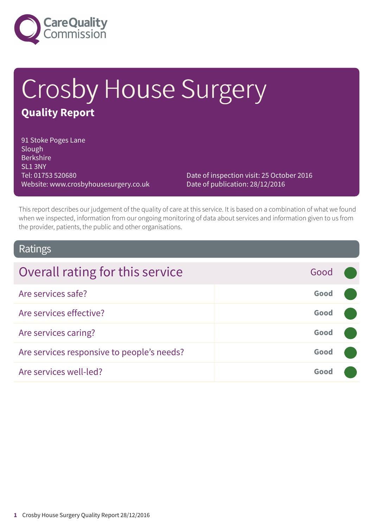

# Crosby House Surgery **Quality Report**

91 Stoke Poges Lane Slough Berkshire SL1 3NY Tel: 01753 520680 Website: www.crosbyhousesurgery.co.uk

Date of inspection visit: 25 October 2016 Date of publication: 28/12/2016

This report describes our judgement of the quality of care at this service. It is based on a combination of what we found when we inspected, information from our ongoing monitoring of data about services and information given to us from the provider, patients, the public and other organisations.

### Ratings

| Overall rating for this service            | Good |  |
|--------------------------------------------|------|--|
| Are services safe?                         | Good |  |
| Are services effective?                    | Good |  |
| Are services caring?                       | Good |  |
| Are services responsive to people's needs? | Good |  |
| Are services well-led?                     | Good |  |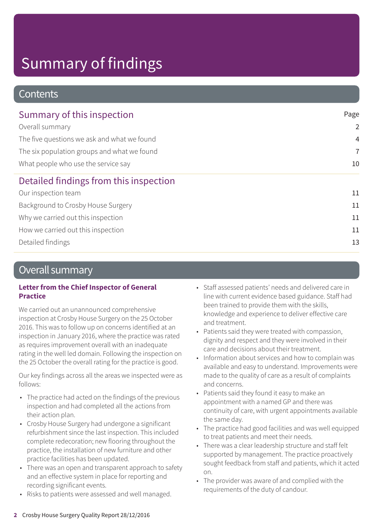### **Contents**

| Summary of this inspection                                                         | Page           |
|------------------------------------------------------------------------------------|----------------|
| Overall summary                                                                    | $\overline{2}$ |
| The five questions we ask and what we found                                        | $\overline{4}$ |
| The six population groups and what we found<br>What people who use the service say | $\overline{7}$ |
|                                                                                    | 10             |
| Detailed findings from this inspection                                             |                |
| Our inspection team                                                                | 11             |
| Background to Crosby House Surgery                                                 | 11             |
| Why we carried out this inspection                                                 | 11             |
| How we carried out this inspection                                                 | 11             |
| Detailed findings                                                                  | 13             |
|                                                                                    |                |

### Overall summary

#### **Letter from the Chief Inspector of General Practice**

We carried out an unannounced comprehensive inspection at Crosby House Surgery on the 25 October 2016. This was to follow up on concerns identified at an inspection in January 2016, where the practice was rated as requires improvement overall with an inadequate rating in the well led domain. Following the inspection on the 25 October the overall rating for the practice is good.

Our key findings across all the areas we inspected were as follows:

- The practice had acted on the findings of the previous inspection and had completed all the actions from their action plan.
- Crosby House Surgery had undergone a significant refurbishment since the last inspection. This included complete redecoration; new flooring throughout the practice, the installation of new furniture and other practice facilities has been updated.
- There was an open and transparent approach to safety and an effective system in place for reporting and recording significant events.
- Risks to patients were assessed and well managed.
- Staff assessed patients' needs and delivered care in line with current evidence based guidance. Staff had been trained to provide them with the skills, knowledge and experience to deliver effective care and treatment.
- Patients said they were treated with compassion, dignity and respect and they were involved in their care and decisions about their treatment.
- Information about services and how to complain was available and easy to understand. Improvements were made to the quality of care as a result of complaints and concerns.
- Patients said they found it easy to make an appointment with a named GP and there was continuity of care, with urgent appointments available the same day.
- The practice had good facilities and was well equipped to treat patients and meet their needs.
- There was a clear leadership structure and staff felt supported by management. The practice proactively sought feedback from staff and patients, which it acted on.
- The provider was aware of and complied with the requirements of the duty of candour.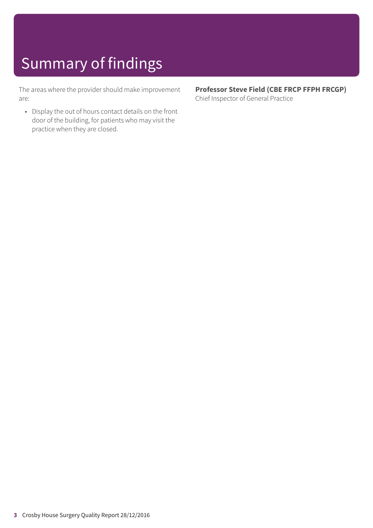The areas where the provider should make improvement are:

• Display the out of hours contact details on the front door of the building, for patients who may visit the practice when they are closed.

**Professor Steve Field (CBE FRCP FFPH FRCGP)** Chief Inspector of General Practice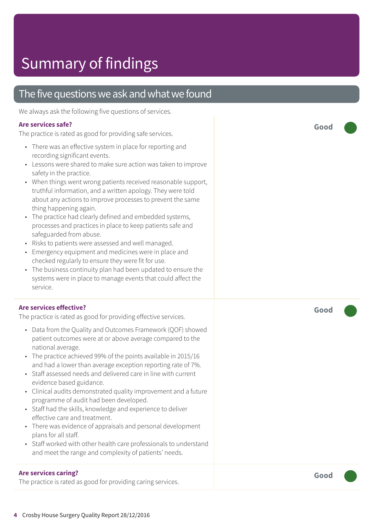### The five questions we ask and what we found

We always ask the following five questions of services.

#### **Are services safe?**

The practice is rated as good for providing safe services.

- There was an effective system in place for reporting and recording significant events.
- Lessons were shared to make sure action was taken to improve safety in the practice.
- When things went wrong patients received reasonable support, truthful information, and a written apology. They were told about any actions to improve processes to prevent the same thing happening again.
- The practice had clearly defined and embedded systems, processes and practices in place to keep patients safe and safeguarded from abuse.
- Risks to patients were assessed and well managed.
- Emergency equipment and medicines were in place and checked regularly to ensure they were fit for use.
- The business continuity plan had been updated to ensure the systems were in place to manage events that could affect the service.

#### **Are services effective?**

The practice is rated as good for providing effective services.

- Data from the Quality and Outcomes Framework (QOF) showed patient outcomes were at or above average compared to the national average.
- The practice achieved 99% of the points available in 2015/16 and had a lower than average exception reporting rate of 7%.
- Staff assessed needs and delivered care in line with current evidence based guidance.
- Clinical audits demonstrated quality improvement and a future programme of audit had been developed.
- Staff had the skills, knowledge and experience to deliver effective care and treatment.
- There was evidence of appraisals and personal development plans for all staff.
- Staff worked with other health care professionals to understand and meet the range and complexity of patients' needs.

#### **Are services caring?**

The practice is rated as good for providing caring services.

**Good –––**

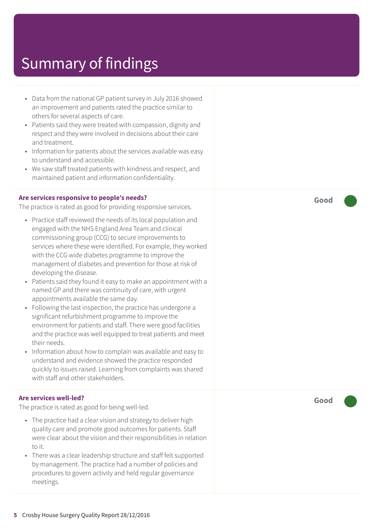- Data from the national GP patient survey in July 2016 showed an improvement and patients rated the practice similar to others for several aspects of care.
- Patients said they were treated with compassion, dignity and respect and they were involved in decisions about their care and treatment.
- Information for patients about the services available was easy to understand and accessible.
- We saw staff treated patients with kindness and respect, and maintained patient and information confidentiality.

#### **Are services responsive to people's needs?**

The practice is rated as good for providing responsive services.

- Practice staff reviewed the needs of its local population and engaged with the NHS England Area Team and clinical commissioning group (CCG) to secure improvements to services where these were identified. For example, they worked with the CCG wide diabetes programme to improve the management of diabetes and prevention for those at risk of developing the disease.
- Patients said they found it easy to make an appointment with a named GP and there was continuity of care, with urgent appointments available the same day.
- Following the last inspection, the practice has undergone a significant refurbishment programme to improve the environment for patients and staff. There were good facilities and the practice was well equipped to treat patients and meet their needs.
- Information about how to complain was available and easy to understand and evidence showed the practice responded quickly to issues raised. Learning from complaints was shared with staff and other stakeholders.

#### **Are services well-led?**

The practice is rated as good for being well-led.

- The practice had a clear vision and strategy to deliver high quality care and promote good outcomes for patients. Staff were clear about the vision and their responsibilities in relation to it.
- There was a clear leadership structure and staff felt supported by management. The practice had a number of policies and procedures to govern activity and held regular governance meetings.

**Good –––**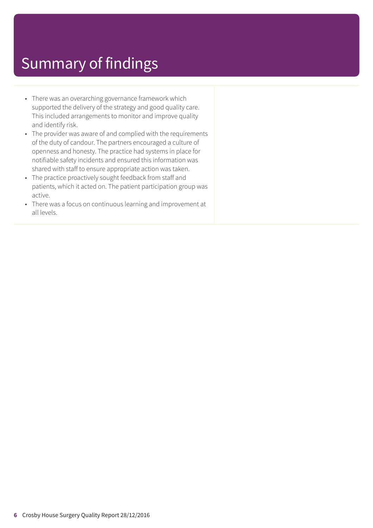- There was an overarching governance framework which supported the delivery of the strategy and good quality care. This included arrangements to monitor and improve quality and identify risk.
- The provider was aware of and complied with the requirements of the duty of candour. The partners encouraged a culture of openness and honesty. The practice had systems in place for notifiable safety incidents and ensured this information was shared with staff to ensure appropriate action was taken.
- The practice proactively sought feedback from staff and patients, which it acted on. The patient participation group was active.
- There was a focus on continuous learning and improvement at all levels.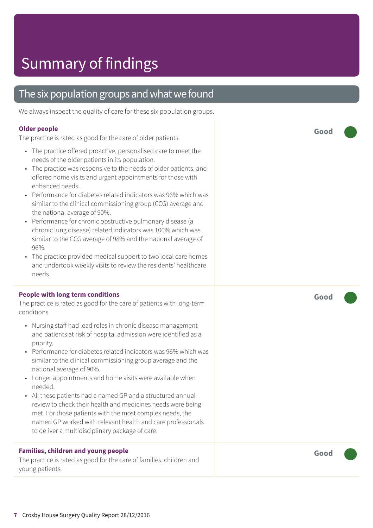### The six population groups and what we found

We always inspect the quality of care for these six population groups.

#### **Older people**

The practice is rated as good for the care of older patients.

- The practice offered proactive, personalised care to meet the needs of the older patients in its population.
- The practice was responsive to the needs of older patients, and offered home visits and urgent appointments for those with enhanced needs.
- Performance for diabetes related indicators was 96% which was similar to the clinical commissioning group (CCG) average and the national average of 90%.
- Performance for chronic obstructive pulmonary disease (a chronic lung disease) related indicators was 100% which was similar to the CCG average of 98% and the national average of 96%.
- The practice provided medical support to two local care homes and undertook weekly visits to review the residents' healthcare needs.

#### **People with long term conditions**

The practice is rated as good for the care of patients with long-term conditions.

- Nursing staff had lead roles in chronic disease management and patients at risk of hospital admission were identified as a priority.
- Performance for diabetes related indicators was 96% which was similar to the clinical commissioning group average and the national average of 90%.
- Longer appointments and home visits were available when needed.
- All these patients had a named GP and a structured annual review to check their health and medicines needs were being met. For those patients with the most complex needs, the named GP worked with relevant health and care professionals to deliver a multidisciplinary package of care.

#### **Families, children and young people**

The practice is rated as good for the care of families, children and young patients.

**Good –––**

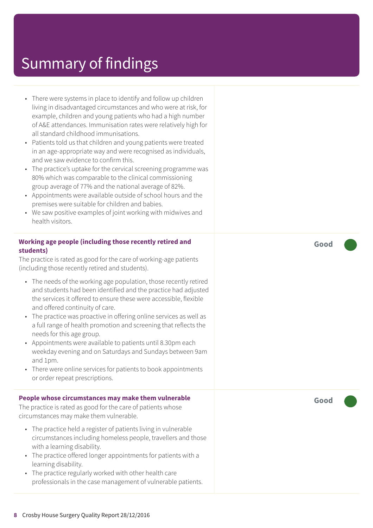- There were systems in place to identify and follow up children living in disadvantaged circumstances and who were at risk, for example, children and young patients who had a high number of A&E attendances. Immunisation rates were relatively high for all standard childhood immunisations.
- Patients told us that children and young patients were treated in an age-appropriate way and were recognised as individuals, and we saw evidence to confirm this.
- The practice's uptake for the cervical screening programme was 80% which was comparable to the clinical commissioning group average of 77% and the national average of 82%.
- Appointments were available outside of school hours and the premises were suitable for children and babies.
- We saw positive examples of joint working with midwives and health visitors.

#### **Working age people (including those recently retired and students)**

The practice is rated as good for the care of working-age patients (including those recently retired and students).

- The needs of the working age population, those recently retired and students had been identified and the practice had adjusted the services it offered to ensure these were accessible, flexible and offered continuity of care.
- The practice was proactive in offering online services as well as a full range of health promotion and screening that reflects the needs for this age group.
- Appointments were available to patients until 8.30pm each weekday evening and on Saturdays and Sundays between 9am and 1pm.
- There were online services for patients to book appointments or order repeat prescriptions.

#### **People whose circumstances may make them vulnerable**

The practice is rated as good for the care of patients whose circumstances may make them vulnerable.

- The practice held a register of patients living in vulnerable circumstances including homeless people, travellers and those with a learning disability.
- The practice offered longer appointments for patients with a learning disability.
- The practice regularly worked with other health care professionals in the case management of vulnerable patients.

**Good –––**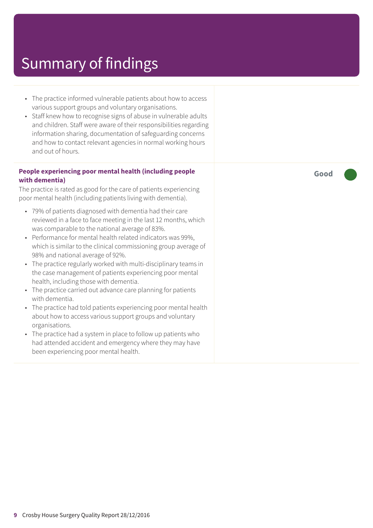- The practice informed vulnerable patients about how to access various support groups and voluntary organisations.
- Staff knew how to recognise signs of abuse in vulnerable adults and children. Staff were aware of their responsibilities regarding information sharing, documentation of safeguarding concerns and how to contact relevant agencies in normal working hours and out of hours.

#### **People experiencing poor mental health (including people with dementia)**

The practice is rated as good for the care of patients experiencing poor mental health (including patients living with dementia).

- 79% of patients diagnosed with dementia had their care reviewed in a face to face meeting in the last 12 months, which was comparable to the national average of 83%.
- Performance for mental health related indicators was 99%, which is similar to the clinical commissioning group average of 98% and national average of 92%.
- The practice regularly worked with multi-disciplinary teams in the case management of patients experiencing poor mental health, including those with dementia.
- The practice carried out advance care planning for patients with dementia.
- The practice had told patients experiencing poor mental health about how to access various support groups and voluntary organisations.
- The practice had a system in place to follow up patients who had attended accident and emergency where they may have been experiencing poor mental health.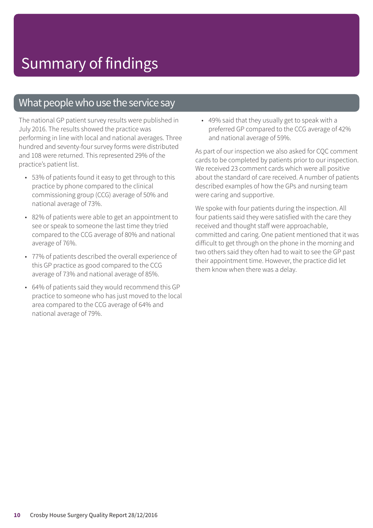### What people who use the service say

The national GP patient survey results were published in July 2016. The results showed the practice was performing in line with local and national averages. Three hundred and seventy-four survey forms were distributed and 108 were returned. This represented 29% of the practice's patient list.

- 53% of patients found it easy to get through to this practice by phone compared to the clinical commissioning group (CCG) average of 50% and national average of 73%.
- 82% of patients were able to get an appointment to see or speak to someone the last time they tried compared to the CCG average of 80% and national average of 76%.
- 77% of patients described the overall experience of this GP practice as good compared to the CCG average of 73% and national average of 85%.
- 64% of patients said they would recommend this GP practice to someone who has just moved to the local area compared to the CCG average of 64% and national average of 79%.

• 49% said that they usually get to speak with a preferred GP compared to the CCG average of 42% and national average of 59%.

As part of our inspection we also asked for CQC comment cards to be completed by patients prior to our inspection. We received 23 comment cards which were all positive about the standard of care received. A number of patients described examples of how the GPs and nursing team were caring and supportive.

We spoke with four patients during the inspection. All four patients said they were satisfied with the care they received and thought staff were approachable, committed and caring. One patient mentioned that it was difficult to get through on the phone in the morning and two others said they often had to wait to see the GP past their appointment time. However, the practice did let them know when there was a delay.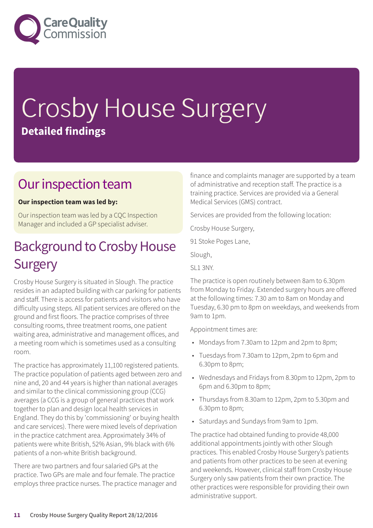

# Crosby House Surgery **Detailed findings**

### Our inspection team

#### **Our inspection team was led by:**

Our inspection team was led by a CQC Inspection Manager and included a GP specialist adviser.

### **Background to Crosby House Surgery**

Crosby House Surgery is situated in Slough. The practice resides in an adapted building with car parking for patients and staff. There is access for patients and visitors who have difficulty using steps. All patient services are offered on the ground and first floors. The practice comprises of three consulting rooms, three treatment rooms, one patient waiting area, administrative and management offices, and a meeting room which is sometimes used as a consulting room.

The practice has approximately 11,100 registered patients. The practice population of patients aged between zero and nine and, 20 and 44 years is higher than national averages and similar to the clinical commissioning group (CCG) averages (a CCG is a group of general practices that work together to plan and design local health services in England. They do this by 'commissioning' or buying health and care services). There were mixed levels of deprivation in the practice catchment area. Approximately 34% of patients were white British, 52% Asian, 9% black with 6% patients of a non-white British background.

There are two partners and four salaried GPs at the practice. Two GPs are male and four female. The practice employs three practice nurses. The practice manager and finance and complaints manager are supported by a team of administrative and reception staff. The practice is a training practice. Services are provided via a General Medical Services (GMS) contract.

Services are provided from the following location:

Crosby House Surgery,

91 Stoke Poges Lane,

Slough,

SL1 3NY.

The practice is open routinely between 8am to 6.30pm from Monday to Friday. Extended surgery hours are offered at the following times: 7.30 am to 8am on Monday and Tuesday, 6.30 pm to 8pm on weekdays, and weekends from 9am to 1pm.

Appointment times are:

- Mondays from 7.30am to 12pm and 2pm to 8pm;
- Tuesdays from 7.30am to 12pm, 2pm to 6pm and 6.30pm to 8pm;
- Wednesdays and Fridays from 8.30pm to 12pm, 2pm to 6pm and 6.30pm to 8pm;
- Thursdays from 8.30am to 12pm, 2pm to 5.30pm and 6.30pm to 8pm;
- Saturdays and Sundays from 9am to 1pm.

The practice had obtained funding to provide 48,000 additional appointments jointly with other Slough practices. This enabled Crosby House Surgery's patients and patients from other practices to be seen at evening and weekends. However, clinical staff from Crosby House Surgery only saw patients from their own practice. The other practices were responsible for providing their own administrative support.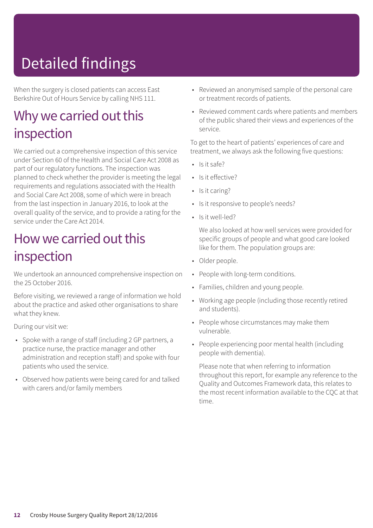## Detailed findings

When the surgery is closed patients can access East Berkshire Out of Hours Service by calling NHS 111.

### Why we carried out this inspection

We carried out a comprehensive inspection of this service under Section 60 of the Health and Social Care Act 2008 as part of our regulatory functions. The inspection was planned to check whether the provider is meeting the legal requirements and regulations associated with the Health and Social Care Act 2008, some of which were in breach from the last inspection in January 2016, to look at the overall quality of the service, and to provide a rating for the service under the Care Act 2014.

### How we carried out this inspection

We undertook an announced comprehensive inspection on the 25 October 2016.

Before visiting, we reviewed a range of information we hold about the practice and asked other organisations to share what they knew.

During our visit we:

- Spoke with a range of staff (including 2 GP partners, a practice nurse, the practice manager and other administration and reception staff) and spoke with four patients who used the service.
- Observed how patients were being cared for and talked with carers and/or family members
- Reviewed an anonymised sample of the personal care or treatment records of patients.
- Reviewed comment cards where patients and members of the public shared their views and experiences of the service.

To get to the heart of patients' experiences of care and treatment, we always ask the following five questions:

- $\cdot$  Is it safe?
- Is it effective?
- Is it caring?
- Is it responsive to people's needs?
- Is it well-led?

We also looked at how well services were provided for specific groups of people and what good care looked like for them. The population groups are:

- Older people.
- People with long-term conditions.
- Families, children and young people.
- Working age people (including those recently retired and students).
- People whose circumstances may make them vulnerable.
- People experiencing poor mental health (including people with dementia).

Please note that when referring to information throughout this report, for example any reference to the Quality and Outcomes Framework data, this relates to the most recent information available to the CQC at that time.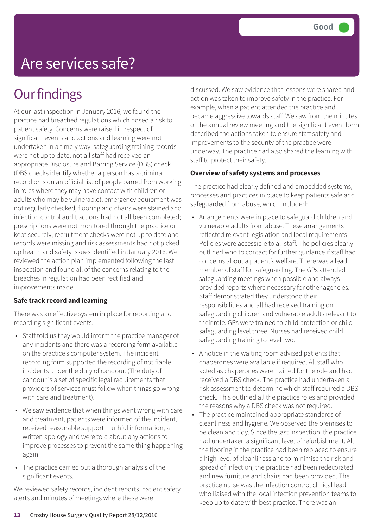## Are services safe?

### **Our findings**

At our last inspection in January 2016, we found the practice had breached regulations which posed a risk to patient safety. Concerns were raised in respect of significant events and actions and learning were not undertaken in a timely way; safeguarding training records were not up to date; not all staff had received an appropriate Disclosure and Barring Service (DBS) check (DBS checks identify whether a person has a criminal record or is on an official list of people barred from working in roles where they may have contact with children or adults who may be vulnerable); emergency equipment was not regularly checked; flooring and chairs were stained and infection control audit actions had not all been completed; prescriptions were not monitored through the practice or kept securely; recruitment checks were not up to date and records were missing and risk assessments had not picked up health and safety issues identified in January 2016. We reviewed the action plan implemented following the last inspection and found all of the concerns relating to the breaches in regulation had been rectified and improvements made.

#### **Safe track record and learning**

There was an effective system in place for reporting and recording significant events.

- Staff told us they would inform the practice manager of any incidents and there was a recording form available on the practice's computer system. The incident recording form supported the recording of notifiable incidents under the duty of candour. (The duty of candour is a set of specific legal requirements that providers of services must follow when things go wrong with care and treatment).
- We saw evidence that when things went wrong with care and treatment, patients were informed of the incident, received reasonable support, truthful information, a written apology and were told about any actions to improve processes to prevent the same thing happening again.
- The practice carried out a thorough analysis of the significant events.

We reviewed safety records, incident reports, patient safety alerts and minutes of meetings where these were

discussed. We saw evidence that lessons were shared and action was taken to improve safety in the practice. For example, when a patient attended the practice and became aggressive towards staff. We saw from the minutes of the annual review meeting and the significant event form described the actions taken to ensure staff safety and improvements to the security of the practice were underway. The practice had also shared the learning with staff to protect their safety.

#### **Overview of safety systems and processes**

The practice had clearly defined and embedded systems, processes and practices in place to keep patients safe and safeguarded from abuse, which included:

- Arrangements were in place to safeguard children and vulnerable adults from abuse. These arrangements reflected relevant legislation and local requirements. Policies were accessible to all staff. The policies clearly outlined who to contact for further guidance if staff had concerns about a patient's welfare. There was a lead member of staff for safeguarding. The GPs attended safeguarding meetings when possible and always provided reports where necessary for other agencies. Staff demonstrated they understood their responsibilities and all had received training on safeguarding children and vulnerable adults relevant to their role. GPs were trained to child protection or child safeguarding level three. Nurses had received child safeguarding training to level two.
- A notice in the waiting room advised patients that chaperones were available if required. All staff who acted as chaperones were trained for the role and had received a DBS check. The practice had undertaken a risk assessment to determine which staff required a DBS check. This outlined all the practice roles and provided the reasons why a DBS check was not required.
- The practice maintained appropriate standards of cleanliness and hygiene. We observed the premises to be clean and tidy. Since the last inspection, the practice had undertaken a significant level of refurbishment. All the flooring in the practice had been replaced to ensure a high level of cleanliness and to minimise the risk and spread of infection; the practice had been redecorated and new furniture and chairs had been provided. The practice nurse was the infection control clinical lead who liaised with the local infection prevention teams to keep up to date with best practice. There was an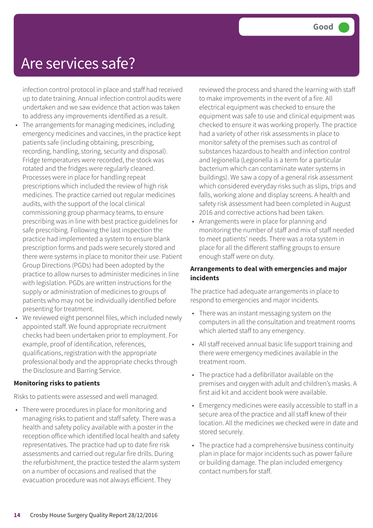### Are services safe?

infection control protocol in place and staff had received up to date training. Annual infection control audits were undertaken and we saw evidence that action was taken to address any improvements identified as a result. • The arrangements for managing medicines, including emergency medicines and vaccines, in the practice kept patients safe (including obtaining, prescribing, recording, handling, storing, security and disposal). Fridge temperatures were recorded, the stock was rotated and the fridges were regularly cleaned. Processes were in place for handling repeat prescriptions which included the review of high risk medicines. The practice carried out regular medicines audits, with the support of the local clinical commissioning group pharmacy teams, to ensure prescribing was in line with best practice guidelines for safe prescribing. Following the last inspection the practice had implemented a system to ensure blank prescription forms and pads were securely stored and there were systems in place to monitor their use. Patient Group Directions (PGDs) had been adopted by the practice to allow nurses to administer medicines in line with legislation. PGDs are written instructions for the supply or administration of medicines to groups of patients who may not be individually identified before presenting for treatment.

• We reviewed eight personnel files, which included newly appointed staff. We found appropriate recruitment checks had been undertaken prior to employment. For example, proof of identification, references, qualifications, registration with the appropriate professional body and the appropriate checks through the Disclosure and Barring Service.

#### **Monitoring risks to patients**

Risks to patients were assessed and well managed.

• There were procedures in place for monitoring and managing risks to patient and staff safety. There was a health and safety policy available with a poster in the reception office which identified local health and safety representatives. The practice had up to date fire risk assessments and carried out regular fire drills. During the refurbishment, the practice tested the alarm system on a number of occasions and realised that the evacuation procedure was not always efficient. They

reviewed the process and shared the learning with staff to make improvements in the event of a fire. All electrical equipment was checked to ensure the equipment was safe to use and clinical equipment was checked to ensure it was working properly. The practice had a variety of other risk assessments in place to monitor safety of the premises such as control of substances hazardous to health and infection control and legionella (Legionella is a term for a particular bacterium which can contaminate water systems in buildings). We saw a copy of a general risk assessment which considered everyday risks such as slips, trips and falls, working alone and display screens. A health and safety risk assessment had been completed in August 2016 and corrective actions had been taken.

• Arrangements were in place for planning and monitoring the number of staff and mix of staff needed to meet patients' needs. There was a rota system in place for all the different staffing groups to ensure enough staff were on duty.

#### **Arrangements to deal with emergencies and major incidents**

The practice had adequate arrangements in place to respond to emergencies and major incidents.

- There was an instant messaging system on the computers in all the consultation and treatment rooms which alerted staff to any emergency.
- All staff received annual basic life support training and there were emergency medicines available in the treatment room.
- The practice had a defibrillator available on the premises and oxygen with adult and children's masks. A first aid kit and accident book were available.
- Emergency medicines were easily accessible to staff in a secure area of the practice and all staff knew of their location. All the medicines we checked were in date and stored securely.
- The practice had a comprehensive business continuity plan in place for major incidents such as power failure or building damage. The plan included emergency contact numbers for staff.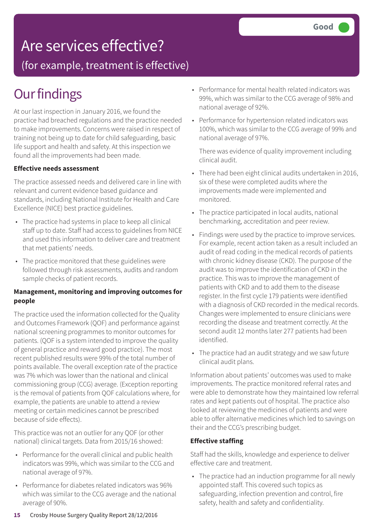### Are services effective?

(for example, treatment is effective)

### **Our findings**

At our last inspection in January 2016, we found the practice had breached regulations and the practice needed to make improvements. Concerns were raised in respect of training not being up to date for child safeguarding, basic life support and health and safety. At this inspection we found all the improvements had been made.

#### **Effective needs assessment**

The practice assessed needs and delivered care in line with relevant and current evidence based guidance and standards, including National Institute for Health and Care Excellence (NICE) best practice guidelines.

- The practice had systems in place to keep all clinical staff up to date. Staff had access to guidelines from NICE and used this information to deliver care and treatment that met patients' needs.
- The practice monitored that these guidelines were followed through risk assessments, audits and random sample checks of patient records.

#### **Management, monitoring and improving outcomes for people**

The practice used the information collected for the Quality and Outcomes Framework (QOF) and performance against national screening programmes to monitor outcomes for patients. (QOF is a system intended to improve the quality of general practice and reward good practice). The most recent published results were 99% of the total number of points available. The overall exception rate of the practice was 7% which was lower than the national and clinical commissioning group (CCG) average. (Exception reporting is the removal of patients from QOF calculations where, for example, the patients are unable to attend a review meeting or certain medicines cannot be prescribed because of side effects).

This practice was not an outlier for any QOF (or other national) clinical targets. Data from 2015/16 showed:

- Performance for the overall clinical and public health indicators was 99%, which was similar to the CCG and national average of 97%.
- Performance for diabetes related indicators was 96% which was similar to the CCG average and the national average of 90%.
- Performance for mental health related indicators was 99%, which was similar to the CCG average of 98% and national average of 92%.
- Performance for hypertension related indicators was 100%, which was similar to the CCG average of 99% and national average of 97%.

There was evidence of quality improvement including clinical audit.

- There had been eight clinical audits undertaken in 2016, six of these were completed audits where the improvements made were implemented and monitored.
- The practice participated in local audits, national benchmarking, accreditation and peer review.
- Findings were used by the practice to improve services. For example, recent action taken as a result included an audit of read coding in the medical records of patients with chronic kidney disease (CKD). The purpose of the audit was to improve the identification of CKD in the practice. This was to improve the management of patients with CKD and to add them to the disease register. In the first cycle 179 patients were identified with a diagnosis of CKD recorded in the medical records. Changes were implemented to ensure clinicians were recording the disease and treatment correctly. At the second audit 12 months later 277 patients had been identified.
- The practice had an audit strategy and we saw future clinical audit plans.

Information about patients' outcomes was used to make improvements. The practice monitored referral rates and were able to demonstrate how they maintained low referral rates and kept patients out of hospital. The practice also looked at reviewing the medicines of patients and were able to offer alternative medicines which led to savings on their and the CCG's prescribing budget.

#### **Effective staffing**

Staff had the skills, knowledge and experience to deliver effective care and treatment.

• The practice had an induction programme for all newly appointed staff. This covered such topics as safeguarding, infection prevention and control, fire safety, health and safety and confidentiality.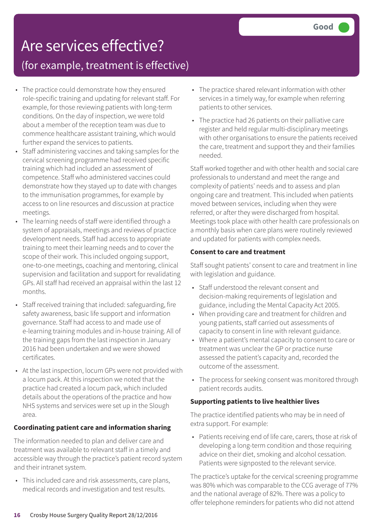### Are services effective?

### (for example, treatment is effective)

- The practice could demonstrate how they ensured role-specific training and updating for relevant staff. For example, for those reviewing patients with long-term conditions. On the day of inspection, we were told about a member of the reception team was due to commence healthcare assistant training, which would further expand the services to patients.
- Staff administering vaccines and taking samples for the cervical screening programme had received specific training which had included an assessment of competence. Staff who administered vaccines could demonstrate how they stayed up to date with changes to the immunisation programmes, for example by access to on line resources and discussion at practice meetings.
- The learning needs of staff were identified through a system of appraisals, meetings and reviews of practice development needs. Staff had access to appropriate training to meet their learning needs and to cover the scope of their work. This included ongoing support, one-to-one meetings, coaching and mentoring, clinical supervision and facilitation and support for revalidating GPs. All staff had received an appraisal within the last 12 months.
- Staff received training that included: safeguarding, fire safety awareness, basic life support and information governance. Staff had access to and made use of e-learning training modules and in-house training. All of the training gaps from the last inspection in January 2016 had been undertaken and we were showed certificates.
- At the last inspection, locum GPs were not provided with a locum pack. At this inspection we noted that the practice had created a locum pack, which included details about the operations of the practice and how NHS systems and services were set up in the Slough area.

#### **Coordinating patient care and information sharing**

The information needed to plan and deliver care and treatment was available to relevant staff in a timely and accessible way through the practice's patient record system and their intranet system.

• This included care and risk assessments, care plans, medical records and investigation and test results.

- The practice shared relevant information with other services in a timely way, for example when referring patients to other services.
- The practice had 26 patients on their palliative care register and held regular multi-disciplinary meetings with other organisations to ensure the patients received the care, treatment and support they and their families needed.

Staff worked together and with other health and social care professionals to understand and meet the range and complexity of patients' needs and to assess and plan ongoing care and treatment. This included when patients moved between services, including when they were referred, or after they were discharged from hospital. Meetings took place with other health care professionals on a monthly basis when care plans were routinely reviewed and updated for patients with complex needs.

#### **Consent to care and treatment**

Staff sought patients' consent to care and treatment in line with legislation and guidance.

- Staff understood the relevant consent and decision-making requirements of legislation and guidance, including the Mental Capacity Act 2005.
- When providing care and treatment for children and young patients, staff carried out assessments of capacity to consent in line with relevant guidance.
- Where a patient's mental capacity to consent to care or treatment was unclear the GP or practice nurse assessed the patient's capacity and, recorded the outcome of the assessment.
- The process for seeking consent was monitored through patient records audits.

#### **Supporting patients to live healthier lives**

The practice identified patients who may be in need of extra support. For example:

• Patients receiving end of life care, carers, those at risk of developing a long-term condition and those requiring advice on their diet, smoking and alcohol cessation. Patients were signposted to the relevant service.

The practice's uptake for the cervical screening programme was 80% which was comparable to the CCG average of 77% and the national average of 82%. There was a policy to offer telephone reminders for patients who did not attend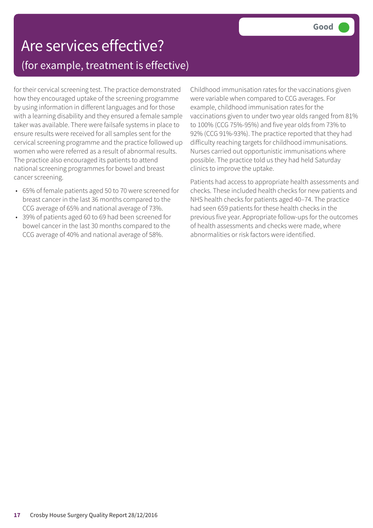### Are services effective? (for example, treatment is effective)

for their cervical screening test. The practice demonstrated how they encouraged uptake of the screening programme by using information in different languages and for those with a learning disability and they ensured a female sample taker was available. There were failsafe systems in place to ensure results were received for all samples sent for the cervical screening programme and the practice followed up women who were referred as a result of abnormal results. The practice also encouraged its patients to attend national screening programmes for bowel and breast cancer screening.

- 65% of female patients aged 50 to 70 were screened for breast cancer in the last 36 months compared to the CCG average of 65% and national average of 73%.
- 39% of patients aged 60 to 69 had been screened for bowel cancer in the last 30 months compared to the CCG average of 40% and national average of 58%.

Childhood immunisation rates for the vaccinations given were variable when compared to CCG averages. For example, childhood immunisation rates for the vaccinations given to under two year olds ranged from 81% to 100% (CCG 75%-95%) and five year olds from 73% to 92% (CCG 91%-93%). The practice reported that they had difficulty reaching targets for childhood immunisations. Nurses carried out opportunistic immunisations where possible. The practice told us they had held Saturday clinics to improve the uptake.

Patients had access to appropriate health assessments and checks. These included health checks for new patients and NHS health checks for patients aged 40–74. The practice had seen 659 patients for these health checks in the previous five year. Appropriate follow-ups for the outcomes of health assessments and checks were made, where abnormalities or risk factors were identified.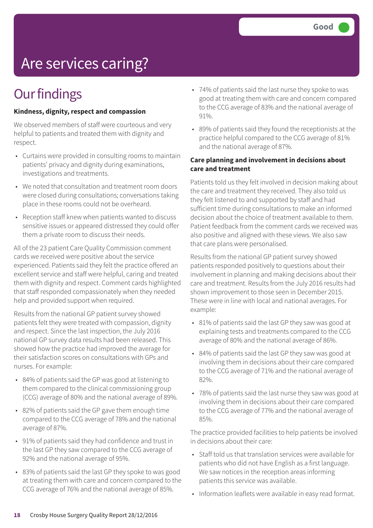## Are services caring?

### **Our findings**

#### **Kindness, dignity, respect and compassion**

We observed members of staff were courteous and very helpful to patients and treated them with dignity and respect.

- Curtains were provided in consulting rooms to maintain patients' privacy and dignity during examinations, investigations and treatments.
- We noted that consultation and treatment room doors were closed during consultations; conversations taking place in these rooms could not be overheard.
- Reception staff knew when patients wanted to discuss sensitive issues or appeared distressed they could offer them a private room to discuss their needs.

All of the 23 patient Care Quality Commission comment cards we received were positive about the service experienced. Patients said they felt the practice offered an excellent service and staff were helpful, caring and treated them with dignity and respect. Comment cards highlighted that staff responded compassionately when they needed help and provided support when required.

Results from the national GP patient survey showed patients felt they were treated with compassion, dignity and respect. Since the last inspection, the July 2016 national GP survey data results had been released. This showed how the practice had improved the average for their satisfaction scores on consultations with GPs and nurses. For example:

- 84% of patients said the GP was good at listening to them compared to the clinical commissioning group (CCG) average of 80% and the national average of 89%.
- 82% of patients said the GP gave them enough time compared to the CCG average of 78% and the national average of 87%.
- 91% of patients said they had confidence and trust in the last GP they saw compared to the CCG average of 92% and the national average of 95%.
- 83% of patients said the last GP they spoke to was good at treating them with care and concern compared to the CCG average of 76% and the national average of 85%.
- 74% of patients said the last nurse they spoke to was good at treating them with care and concern compared to the CCG average of 83% and the national average of 91%.
- 89% of patients said they found the receptionists at the practice helpful compared to the CCG average of 81% and the national average of 87%.

#### **Care planning and involvement in decisions about care and treatment**

Patients told us they felt involved in decision making about the care and treatment they received. They also told us they felt listened to and supported by staff and had sufficient time during consultations to make an informed decision about the choice of treatment available to them. Patient feedback from the comment cards we received was also positive and aligned with these views. We also saw that care plans were personalised.

Results from the national GP patient survey showed patients responded positively to questions about their involvement in planning and making decisions about their care and treatment. Results from the July 2016 results had shown improvement to those seen in December 2015. These were in line with local and national averages. For example:

- 81% of patients said the last GP they saw was good at explaining tests and treatments compared to the CCG average of 80% and the national average of 86%.
- 84% of patients said the last GP they saw was good at involving them in decisions about their care compared to the CCG average of 71% and the national average of 82%.
- 78% of patients said the last nurse they saw was good at involving them in decisions about their care compared to the CCG average of 77% and the national average of 85%.

The practice provided facilities to help patients be involved in decisions about their care:

- Staff told us that translation services were available for patients who did not have English as a first language. We saw notices in the reception areas informing patients this service was available.
- Information leaflets were available in easy read format.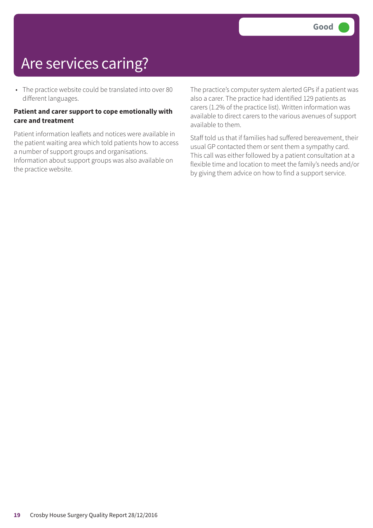### Are services caring?

• The practice website could be translated into over 80 different languages.

#### **Patient and carer support to cope emotionally with care and treatment**

Patient information leaflets and notices were available in the patient waiting area which told patients how to access a number of support groups and organisations. Information about support groups was also available on the practice website.

The practice's computer system alerted GPs if a patient was also a carer. The practice had identified 129 patients as carers (1.2% of the practice list). Written information was available to direct carers to the various avenues of support available to them.

Staff told us that if families had suffered bereavement, their usual GP contacted them or sent them a sympathy card. This call was either followed by a patient consultation at a flexible time and location to meet the family's needs and/or by giving them advice on how to find a support service.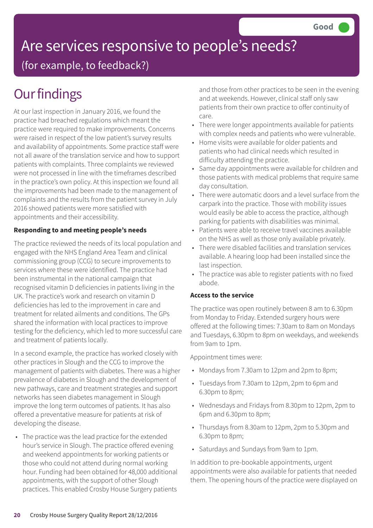## Are services responsive to people's needs?

(for example, to feedback?)

### **Our findings**

At our last inspection in January 2016, we found the practice had breached regulations which meant the practice were required to make improvements. Concerns were raised in respect of the low patient's survey results and availability of appointments. Some practice staff were not all aware of the translation service and how to support patients with complaints. Three complaints we reviewed were not processed in line with the timeframes described in the practice's own policy. At this inspection we found all the improvements had been made to the management of complaints and the results from the patient survey in July 2016 showed patients were more satisfied with appointments and their accessibility.

#### **Responding to and meeting people's needs**

The practice reviewed the needs of its local population and engaged with the NHS England Area Team and clinical commissioning group (CCG) to secure improvements to services where these were identified. The practice had been instrumental in the national campaign that recognised vitamin D deficiencies in patients living in the UK. The practice's work and research on vitamin D deficiencies has led to the improvement in care and treatment for related ailments and conditions. The GPs shared the information with local practices to improve testing for the deficiency, which led to more successful care and treatment of patients locally.

In a second example, the practice has worked closely with other practices in Slough and the CCG to improve the management of patients with diabetes. There was a higher prevalence of diabetes in Slough and the development of new pathways, care and treatment strategies and support networks has seen diabetes management in Slough improve the long term outcomes of patients. It has also offered a preventative measure for patients at risk of developing the disease.

• The practice was the lead practice for the extended hour's service in Slough. The practice offered evening and weekend appointments for working patients or those who could not attend during normal working hour. Funding had been obtained for 48,000 additional appointments, with the support of other Slough practices. This enabled Crosby House Surgery patients and those from other practices to be seen in the evening and at weekends. However, clinical staff only saw patients from their own practice to offer continuity of care.

- There were longer appointments available for patients with complex needs and patients who were vulnerable.
- Home visits were available for older patients and patients who had clinical needs which resulted in difficulty attending the practice.
- Same day appointments were available for children and those patients with medical problems that require same day consultation.
- There were automatic doors and a level surface from the carpark into the practice. Those with mobility issues would easily be able to access the practice, although parking for patients with disabilities was minimal.
- Patients were able to receive travel vaccines available on the NHS as well as those only available privately.
- There were disabled facilities and translation services available. A hearing loop had been installed since the last inspection.
- The practice was able to register patients with no fixed abode.

#### **Access to the service**

The practice was open routinely between 8 am to 6.30pm from Monday to Friday. Extended surgery hours were offered at the following times: 7.30am to 8am on Mondays and Tuesdays, 6.30pm to 8pm on weekdays, and weekends from 9am to 1pm.

Appointment times were:

- Mondays from 7.30am to 12pm and 2pm to 8pm;
- Tuesdays from 7.30am to 12pm, 2pm to 6pm and 6.30pm to 8pm;
- Wednesdays and Fridays from 8.30pm to 12pm, 2pm to 6pm and 6.30pm to 8pm;
- Thursdays from 8.30am to 12pm, 2pm to 5.30pm and 6.30pm to 8pm;
- Saturdays and Sundays from 9am to 1pm.

In addition to pre-bookable appointments, urgent appointments were also available for patients that needed them. The opening hours of the practice were displayed on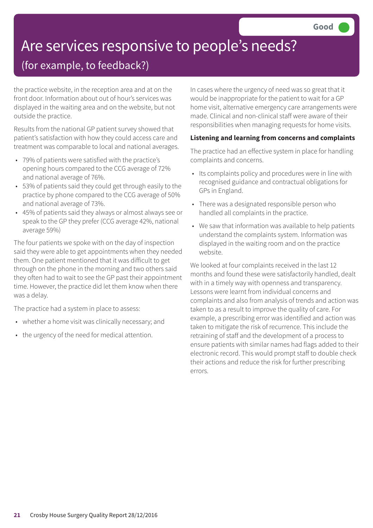## Are services responsive to people's needs?

### (for example, to feedback?)

the practice website, in the reception area and at on the front door. Information about out of hour's services was displayed in the waiting area and on the website, but not outside the practice.

Results from the national GP patient survey showed that patient's satisfaction with how they could access care and treatment was comparable to local and national averages.

- 79% of patients were satisfied with the practice's opening hours compared to the CCG average of 72% and national average of 76%.
- 53% of patients said they could get through easily to the practice by phone compared to the CCG average of 50% and national average of 73%.
- 45% of patients said they always or almost always see or speak to the GP they prefer (CCG average 42%, national average 59%)

The four patients we spoke with on the day of inspection said they were able to get appointments when they needed them. One patient mentioned that it was difficult to get through on the phone in the morning and two others said they often had to wait to see the GP past their appointment time. However, the practice did let them know when there was a delay.

The practice had a system in place to assess:

- whether a home visit was clinically necessary; and
- the urgency of the need for medical attention.

In cases where the urgency of need was so great that it would be inappropriate for the patient to wait for a GP home visit, alternative emergency care arrangements were made. Clinical and non-clinical staff were aware of their responsibilities when managing requests for home visits.

#### **Listening and learning from concerns and complaints**

The practice had an effective system in place for handling complaints and concerns.

- Its complaints policy and procedures were in line with recognised guidance and contractual obligations for GPs in England.
- There was a designated responsible person who handled all complaints in the practice.
- We saw that information was available to help patients understand the complaints system. Information was displayed in the waiting room and on the practice website.

We looked at four complaints received in the last 12 months and found these were satisfactorily handled, dealt with in a timely way with openness and transparency. Lessons were learnt from individual concerns and complaints and also from analysis of trends and action was taken to as a result to improve the quality of care. For example, a prescribing error was identified and action was taken to mitigate the risk of recurrence. This include the retraining of staff and the development of a process to ensure patients with similar names had flags added to their electronic record. This would prompt staff to double check their actions and reduce the risk for further prescribing errors.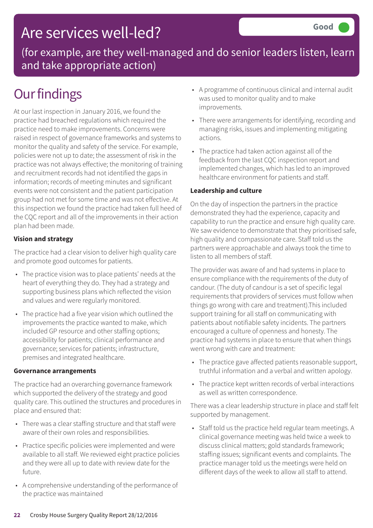### Are services well-led?

(for example, are they well-managed and do senior leaders listen, learn and take appropriate action)

### **Our findings**

At our last inspection in January 2016, we found the practice had breached regulations which required the practice need to make improvements. Concerns were raised in respect of governance frameworks and systems to monitor the quality and safety of the service. For example, policies were not up to date; the assessment of risk in the practice was not always effective; the monitoring of training and recruitment records had not identified the gaps in information; records of meeting minutes and significant events were not consistent and the patient participation group had not met for some time and was not effective. At this inspection we found the practice had taken full heed of the CQC report and all of the improvements in their action plan had been made.

#### **Vision and strategy**

The practice had a clear vision to deliver high quality care and promote good outcomes for patients.

- The practice vision was to place patients' needs at the heart of everything they do. They had a strategy and supporting business plans which reflected the vision and values and were regularly monitored.
- The practice had a five year vision which outlined the improvements the practice wanted to make, which included GP resource and other staffing options; accessibility for patients; clinical performance and governance; services for patients; infrastructure, premises and integrated healthcare.

#### **Governance arrangements**

The practice had an overarching governance framework which supported the delivery of the strategy and good quality care. This outlined the structures and procedures in place and ensured that:

- There was a clear staffing structure and that staff were aware of their own roles and responsibilities.
- Practice specific policies were implemented and were available to all staff. We reviewed eight practice policies and they were all up to date with review date for the future.
- A comprehensive understanding of the performance of the practice was maintained
- A programme of continuous clinical and internal audit was used to monitor quality and to make improvements.
- There were arrangements for identifying, recording and managing risks, issues and implementing mitigating actions.
- The practice had taken action against all of the feedback from the last CQC inspection report and implemented changes, which has led to an improved healthcare environment for patients and staff.

#### **Leadership and culture**

On the day of inspection the partners in the practice demonstrated they had the experience, capacity and capability to run the practice and ensure high quality care. We saw evidence to demonstrate that they prioritised safe, high quality and compassionate care. Staff told us the partners were approachable and always took the time to listen to all members of staff.

The provider was aware of and had systems in place to ensure compliance with the requirements of the duty of candour. (The duty of candour is a set of specific legal requirements that providers of services must follow when things go wrong with care and treatment).This included support training for all staff on communicating with patients about notifiable safety incidents. The partners encouraged a culture of openness and honesty. The practice had systems in place to ensure that when things went wrong with care and treatment:

- The practice gave affected patients reasonable support, truthful information and a verbal and written apology.
- The practice kept written records of verbal interactions as well as written correspondence.

There was a clear leadership structure in place and staff felt supported by management.

• Staff told us the practice held regular team meetings. A clinical governance meeting was held twice a week to discuss clinical matters; gold standards framework; staffing issues; significant events and complaints. The practice manager told us the meetings were held on different days of the week to allow all staff to attend.